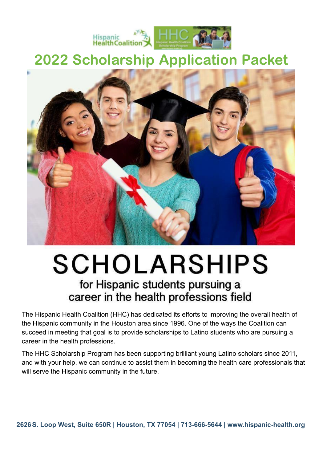

## 2022 Scholarship Application Packet



# **SCHOLARSHIPS**

### for Hispanic students pursuing a career in the health professions field

The Hispanic Health Coalition (HHC) has dedicated its efforts to improving the overall health of the Hispanic community in the Houston area since 1996. One of the ways the Coalition can succeed in meeting that goal is to provide scholarships to Latino students who are pursuing a career in the health professions.

The HHC Scholarship Program has been supporting brilliant young Latino scholars since 2011, and with your help, we can continue to assist them in becoming the health care professionals that will serve the Hispanic community in the future.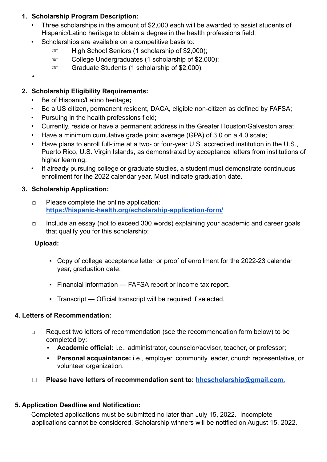#### **1. Scholarship Program Description:**

- Three scholarships in the amount of \$2,000 each will be awarded to assist students of Hispanic/Latino heritage to obtain a degree in the health professions field;
- Scholarships are available on a competitive basis to:
	- ☞ High School Seniors (1 scholarship of \$2,000);
	- ☞ College Undergraduates (1 scholarship of \$2,000);
	- ☞ Graduate Students (1 scholarship of \$2,000);
- •

#### **2. Scholarship Eligibility Requirements:**

- Be of Hispanic/Latino heritage**;**
- Be a US citizen, permanent resident, DACA, eligible non-citizen as defined by FAFSA;
- Pursuing in the health professions field;
- Currently, reside or have a permanent address in the Greater Houston/Galveston area;
- Have a minimum cumulative grade point average (GPA) of 3.0 on a 4.0 scale;
- Have plans to enroll full-time at a two- or four-year U.S. accredited institution in the U.S., Puerto Rico, U.S. Virgin Islands, as demonstrated by acceptance letters from institutions of higher learning;
- If already pursuing college or graduate studies, a student must demonstrate continuous enrollment for the 2022 calendar year. Must indicate graduation date.

#### 3. **Scholarship Application:**

- □ Please complete the online application: **<https://hispanic-health.org/scholarship-application-form/>**
- □ Include an essay (not to exceed 300 words) explaining your academic and career goals that qualify you for this scholarship;

#### **Upload:**

- Copy of college acceptance letter or proof of enrollment for the 2022-23 calendar year, graduation date.
- Financial information FAFSA report or income tax report.
- Transcript Official transcript will be required if selected.

#### **4. Letters of Recommendation:**

- □ Request two letters of recommendation (see the recommendation form below) to be completed by:
	- Academic official: i.e., administrator, counselor/advisor, teacher, or professor;
	- **Personal acquaintance:** i.e., employer, community leader, church representative, or volunteer organization.
- □ **Please have letters of recommendation sent to: [hhcscholarship@gmail.com.](http://hhcscholarship@gmail.com.)**

#### **5. Application Deadline and Notification:**

Completed applications must be submitted no later than July 15, 2022. Incomplete applications cannot be considered. Scholarship winners will be notified on August 15, 2022.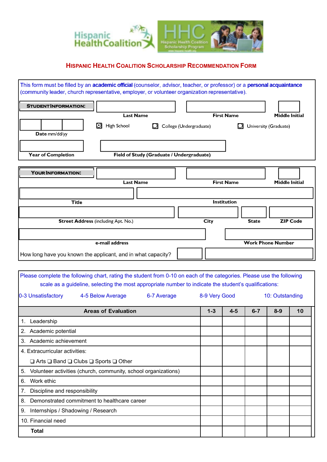

#### **HISPANIC HEALTH COALITION SCHOLARSHIP RECOMMENDATION FORM**

| This form must be filled by an academic official (counselor, advisor, teacher, or professor) or a personal acquaintance<br>(community leader, church representative, employer, or volunteer organization representative). |                                           |  |                         |              |                          |  |
|---------------------------------------------------------------------------------------------------------------------------------------------------------------------------------------------------------------------------|-------------------------------------------|--|-------------------------|--------------|--------------------------|--|
| <b>STUDENT INFORMATION:</b>                                                                                                                                                                                               |                                           |  |                         |              |                          |  |
|                                                                                                                                                                                                                           | <b>Last Name</b>                          |  | <b>First Name</b>       |              | <b>Middle Initial</b>    |  |
| $\boldsymbol{\Theta}$<br>Date mm/dd/yy                                                                                                                                                                                    | High School                               |  | College (Undergraduate) |              | University (Graduate)    |  |
| <b>Year of Completion</b>                                                                                                                                                                                                 | Field of Study (Graduate / Undergraduate) |  |                         |              |                          |  |
| <b>YOUR INFORMATION:</b>                                                                                                                                                                                                  |                                           |  |                         |              |                          |  |
|                                                                                                                                                                                                                           | <b>Last Name</b>                          |  | <b>First Name</b>       |              | <b>Middle Initial</b>    |  |
|                                                                                                                                                                                                                           |                                           |  |                         |              |                          |  |
| <b>Title</b>                                                                                                                                                                                                              |                                           |  | <b>Institution</b>      |              |                          |  |
|                                                                                                                                                                                                                           |                                           |  |                         |              |                          |  |
| <b>Street Address (including Apt. No.)</b>                                                                                                                                                                                |                                           |  | City                    | <b>State</b> | <b>ZIP Code</b>          |  |
|                                                                                                                                                                                                                           | e-mail address                            |  |                         |              | <b>Work Phone Number</b> |  |

How long have you known the applicant, and in what capacity?

Please complete the following chart, rating the student from 0-10 on each of the categories. Please use the following scale as a guideline, selecting the most appropriate number to indicate the student's qualifications:

| 0-3 Unsatisfactory                                                   | 4-5 Below Average          | 6-7 Average |         | 8-9 Very Good |         | 10: Outstanding |    |  |
|----------------------------------------------------------------------|----------------------------|-------------|---------|---------------|---------|-----------------|----|--|
|                                                                      | <b>Areas of Evaluation</b> |             | $1 - 3$ | $4 - 5$       | $6 - 7$ | $8-9$           | 10 |  |
| Leadership<br>1.                                                     |                            |             |         |               |         |                 |    |  |
| 2. Academic potential                                                |                            |             |         |               |         |                 |    |  |
| Academic achievement<br>3.                                           |                            |             |         |               |         |                 |    |  |
| 4. Extracurricular activities:                                       |                            |             |         |               |         |                 |    |  |
| $\Box$ Arts $\Box$ Band $\Box$ Clubs $\Box$ Sports $\Box$ Other      |                            |             |         |               |         |                 |    |  |
| Volunteer activities (church, community, school organizations)<br>5. |                            |             |         |               |         |                 |    |  |
| Work ethic<br>6.                                                     |                            |             |         |               |         |                 |    |  |
| Discipline and responsibility<br>7.                                  |                            |             |         |               |         |                 |    |  |
| Demonstrated commitment to healthcare career<br>8.                   |                            |             |         |               |         |                 |    |  |
| 9.<br>Internships / Shadowing / Research                             |                            |             |         |               |         |                 |    |  |
| 10. Financial need                                                   |                            |             |         |               |         |                 |    |  |
| <b>Total</b>                                                         |                            |             |         |               |         |                 |    |  |